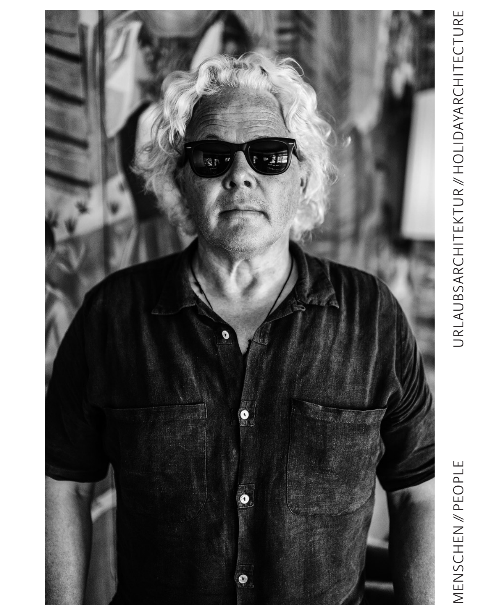

# MENSCHEN // PEOPLE

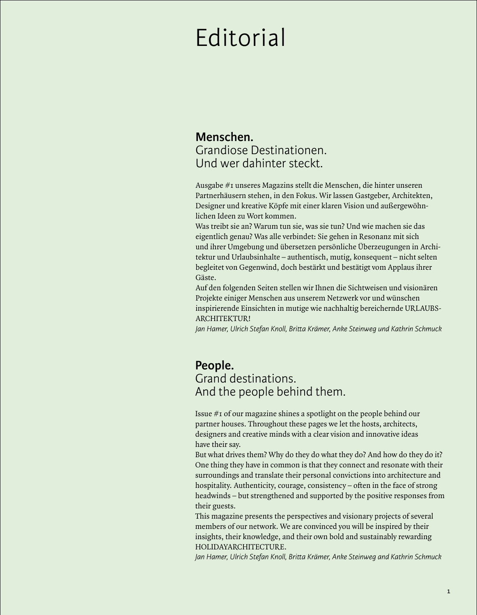## Editorial

#### **Menschen.**  Grandiose Destinationen. Und wer dahinter steckt.

Ausgabe #1 unseres Magazins stellt die Menschen, die hinter unseren Partnerhäusern stehen, in den Fokus. Wir lassen Gastgeber, Architekten, Designer und kreative Köpfe mit einer klaren Vision und außergewöhnlichen Ideen zu Wort kommen.

Was treibt sie an? Warum tun sie, was sie tun? Und wie machen sie das eigentlich genau? Was alle verbindet: Sie gehen in Resonanz mit sich und ihrer Umgebung und übersetzen persönliche Überzeugungen in Architektur und Urlaubsinhalte – authentisch, mutig, konsequent – nicht selten begleitet von Gegenwind, doch bestärkt und bestätigt vom Applaus ihrer Gäste.

Auf den folgenden Seiten stellen wir Ihnen die Sichtweisen und visionären Projekte einiger Menschen aus unserem Netzwerk vor und wünschen inspirierende Einsichten in mutige wie nachhaltig bereichernde URLAUBS-ARCHITEKTUR!

*Jan Hamer, Ulrich Stefan Knoll, Bri!a Krämer, Anke Steinweg und Kathrin Schmuck*

#### **People.** Grand destinations. And the people behind them.

Issue #1 of our magazine shines a spotlight on the people behind our partner houses. Throughout these pages we let the hosts, architects, designers and creative minds with a clear vision and innovative ideas have their say.

But what drives them? Why do they do what they do? And how do they do it? One thing they have in common is that they connect and resonate with their surroundings and translate their personal convictions into architecture and hospitality. Authenticity, courage, consistency – often in the face of strong headwinds – but strengthened and supported by the positive responses from their guests.

This magazine presents the perspectives and visionary projects of several members of our network. We are convinced you will be inspired by their insights, their knowledge, and their own bold and sustainably rewarding HOLIDAYARCHITECTURE.

*Jan Hamer, Ulrich Stefan Knoll, Bri!a Krämer, Anke Steinweg and Kathrin Schmuck*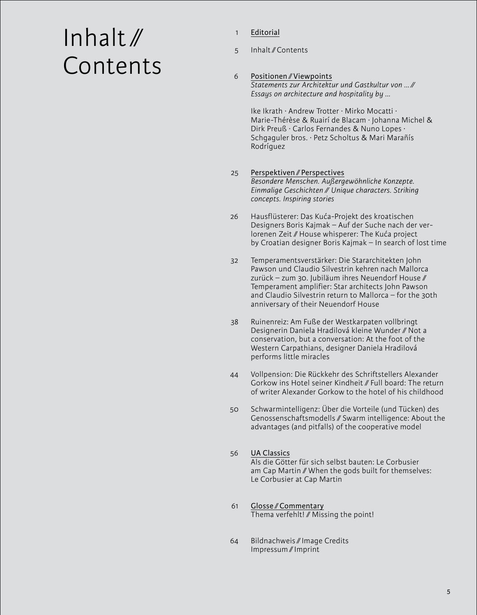# Inhalt ∕∕ Contents

- Editorial 1
- Inhalt ∕∕ Contents 5

#### Positionen ∕∕ Viewpoints *Statements zur Architektur und Gastkultur von … ∕∕ Essays on architecture and hospitality by …* 6

Ike Ikrath · Andrew Trotter · Mirko Mocatti · Marie-Thérèse & Ruairí de Blacam · Johanna Michel & Dirk Preuß · Carlos Fernandes & Nuno Lopes · Schgaguler bros. · Petz Scholtus & Mari Marañís Rodríguez

#### Perspektiven ∕∕ Perspectives *Besondere Menschen. Außergewöhnliche Konzepte. Einmalige Geschichten ∕∕ Unique characters. Striking concepts. Inspiring stories* 25

- Hausflüsterer: Das Kuća-Projekt des kroatischen Designers Boris Kajmak – Auf der Suche nach der verlorenen Zeit ∕∕ House whisperer: The Kuća project by Croatian designer Boris Kajmak – In search of lost time 26
- Temperamentsverstärker: Die Stararchitekten John Pawson und Claudio Silvestrin kehren nach Mallorca zurück – zum 30. Jubiläum ihres Neuendorf House ∕∕ Temperament amplifier: Star architects John Pawson and Claudio Silvestrin return to Mallorca – for the 30th anniversary of their Neuendorf House 32
- Ruinenreiz: Am Fuße der Westkarpaten vollbringt Designerin Daniela Hradilová kleine Wunder ∕∕ Not a conservation, but a conversation: At the foot of the Western Carpathians, designer Daniela Hradilová performs little miracles 38
- Vollpension: Die Rückkehr des Schriftstellers Alexander Gorkow ins Hotel seiner Kindheit ∕∕ Full board: The return of writer Alexander Gorkow to the hotel of his childhood 44
- Schwarmintelligenz: Über die Vorteile (und Tücken) des Genossenschaftsmodells ∕∕ Swarm intelligence: About the advantages (and pitfalls) of the cooperative model 50

#### UA Classics Als die Götter für sich selbst bauten: Le Corbusier am Cap Martin ∕∕ When the gods built for themselves: Le Corbusier at Cap Martin 56

- Glosse ∕∕ Commentary Thema verfehlt! ∕∕ Missing the point! 61
- Bildnachweis ∕∕ Image Credits Impressum ∕∕ Imprint 64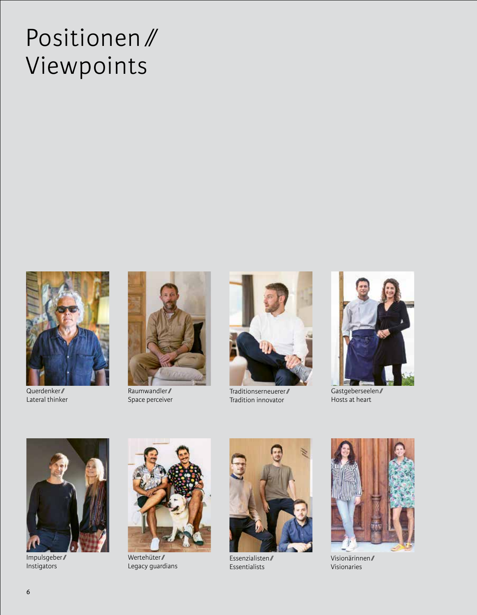## Positionen/ Viewpoints



Querdenker/ Lateral thinker



Raumwandler/ Space perceiver



Traditionserneuerer/ Tradition innovator



Gastgeberseelen/ Hosts at heart



Impulsgeber/ Instigators



Wertehüter/ Legacy guardians



Essenzialisten/ Essentialists



Visionärinnen/ Visionaries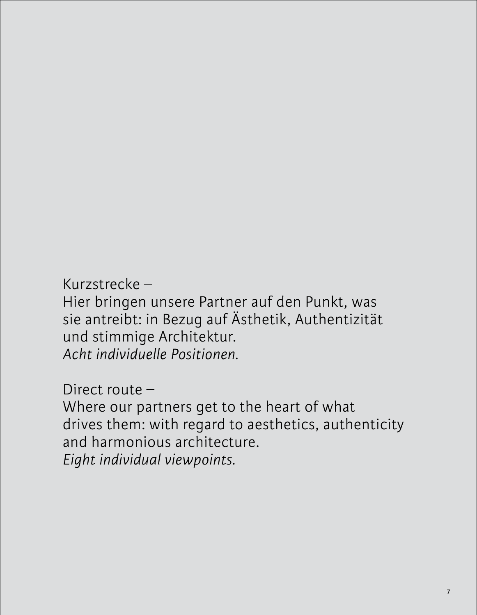Kurzstrecke –

Hier bringen unsere Partner auf den Punkt, was sie antreibt: in Bezug auf Ästhetik, Authentizität und stimmige Architektur. *Acht individuelle Positionen.*

Direct route –

Where our partners get to the heart of what drives them: with regard to aesthetics, authenticity and harmonious architecture. *Eight individual viewpoints.*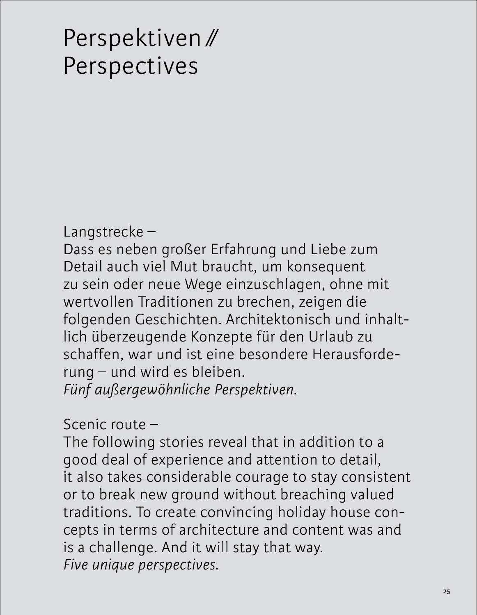## Perspektiven ∕∕ Perspectives

Langstrecke –

Dass es neben großer Erfahrung und Liebe zum Detail auch viel Mut braucht, um konsequent zu sein oder neue Wege einzuschlagen, ohne mit wertvollen Traditionen zu brechen, zeigen die folgenden Geschichten. Architektonisch und inhaltlich überzeugende Konzepte für den Urlaub zu schaffen, war und ist eine besondere Herausforderung – und wird es bleiben. *Fünf außergewöhnliche Perspektiven.*

Scenic route –

The following stories reveal that in addition to a good deal of experience and attention to detail, it also takes considerable courage to stay consistent or to break new ground without breaching valued traditions. To create convincing holiday house concepts in terms of architecture and content was and is a challenge. And it will stay that way. *Five unique perspectives.*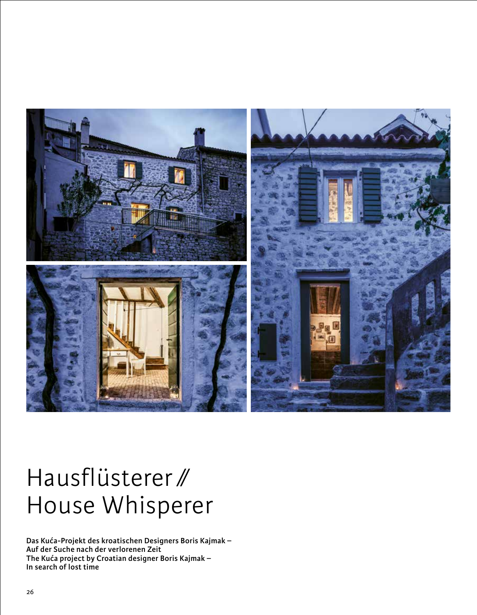

## Hausflüsterer ∕∕ House Whisperer

**Das Kuća-Projekt des kroatischen Designers Boris Kajmak – Auf der Suche nach der verlorenen Zeit The Kuća project by Croatian designer Boris Kajmak – In search of lost time**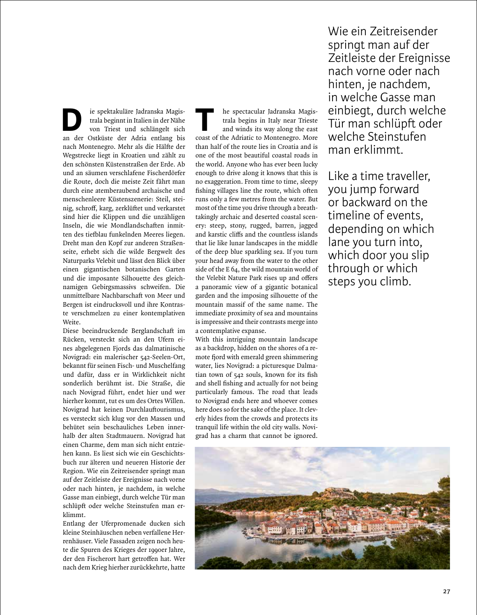ie spektakuläre Jadranska Magistrala beginnt in Italien in der Nähe von Triest und schlängelt sich an der Ostküste der Adria entlang bis nach Montenegro. Mehr als die Hälfte der Wegstrecke liegt in Kroatien und zählt zu den schönsten Küstenstraßen der Erde. Ab und an säumen verschlafene Fischerdörfer die Route, doch die meiste Zeit fährt man durch eine atemberaubend archaische und menschenleere Küstenszenerie: Steil, steinig, schroff, karg, zerklüftet und verkarstet sind hier die Klippen und die unzähligen Inseln, die wie Mondlandschaften inmitten des tiefblau funkelnden Meeres liegen. Dreht man den Kopf zur anderen Straßenseite, erhebt sich die wilde Bergwelt des Naturparks Velebit und lässt den Blick über einen gigantischen botanischen Garten und die imposante Silhouette des gleichnamigen Gebirgsmassivs schweifen. Die unmittelbare Nachbarschaft von Meer und Bergen ist eindrucksvoll und ihre Kontraste verschmelzen zu einer kontemplativen Weite. ie spektakuläre Jadranska Magistrala beginnt in Italien in der Nähe<br>von Triest und schlängelt sich<br>an der Ostküste der Adria entlang bis

Diese beeindruckende Berglandschaft im Rücken, versteckt sich an den Ufern eines abgelegenen Fjords das dalmatinische Novigrad: ein malerischer 542-Seelen-Ort, bekannt für seinen Fisch- und Muschelfang und dafür, dass er in Wirklichkeit nicht sonderlich berühmt ist. Die Straße, die nach Novigrad führt, endet hier und wer hierher kommt, tut es um des Ortes Willen. Novigrad hat keinen Durchlauftourismus, es versteckt sich klug vor den Massen und behütet sein beschauliches Leben innerhalb der alten Stadtmauern. Novigrad hat einen Charme, dem man sich nicht entziehen kann. Es liest sich wie ein Geschichtsbuch zur älteren und neueren Historie der Region. Wie ein Zeitreisender springt man auf der Zeitleiste der Ereignisse nach vorne oder nach hinten, je nachdem, in welche Gasse man einbiegt, durch welche Tür man schlüpft oder welche Steinstufen man erklimmt.

Entlang der Uferpromenade ducken sich kleine Steinhäuschen neben verfallene Herrenhäuser. Viele Fassaden zeigen noch heute die Spuren des Krieges der 1990er Jahre, der den Fischerort hart getroffen hat. Wer nach dem Krieg hierher zurückkehrte, hatte

he spectacular Jadranska Magistrala begins in Italy near Trieste and winds its way along the east coast of the Adriatic to Montenegro. More than half of the route lies in Croatia and is one of the most beautiful coastal roads in the world. Anyone who has ever been lucky enough to drive along it knows that this is no exaggeration. From time to time, sleepy fishing villages line the route, which often runs only a few metres from the water. But most of the time you drive through a breathtakingly archaic and deserted coastal scenery: steep, stony, rugged, barren, jagged and karstic cliffs and the countless islands that lie like lunar landscapes in the middle of the deep blue sparkling sea. If you turn your head away from the water to the other side of the E 64, the wild mountain world of the Velebit Nature Park rises up and offers a panoramic view of a gigantic botanical garden and the imposing silhouette of the mountain massif of the same name. The immediate proximity of sea and mountains is impressive and their contrasts merge into a contemplative expanse.

With this intriguing mountain landscape as a backdrop, hidden on the shores of a remote fjord with emerald green shimmering water, lies Novigrad: a picturesque Dalmatian town of 542 souls, known for its fish and shell fishing and actually for not being particularly famous. The road that leads to Novigrad ends here and whoever comes here does so for the sake of the place. It cleverly hides from the crowds and protects its tranquil life within the old city walls. Novigrad has a charm that cannot be ignored.

Wie ein Zeitreisender springt man auf der Zeitleiste der Ereignisse nach vorne oder nach hinten, je nachdem, in welche Gasse man einbiegt, durch welche Tür man schlüpft oder welche Steinstufen man erklimmt.

Like a time traveller, you jump forward or backward on the timeline of events, depending on which lane you turn into, which door you slip through or which steps you climb.

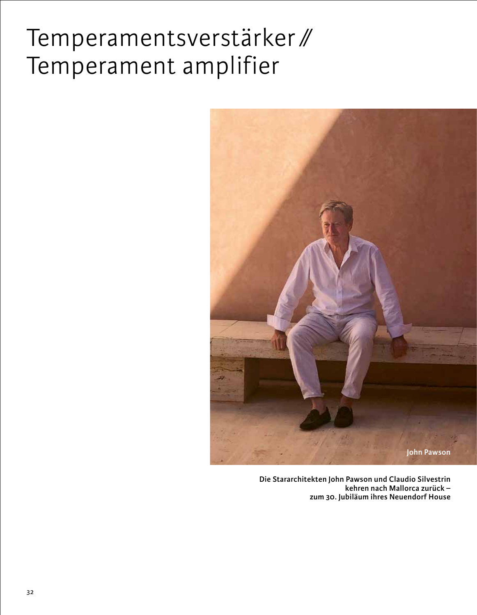## Temperamentsverstärker ∕∕ Temperament amplifier



**Die Stararchitekten John Pawson und Claudio Silvestrin kehren nach Mallorca zurück – zum 30. Jubiläum ihres Neuendorf House**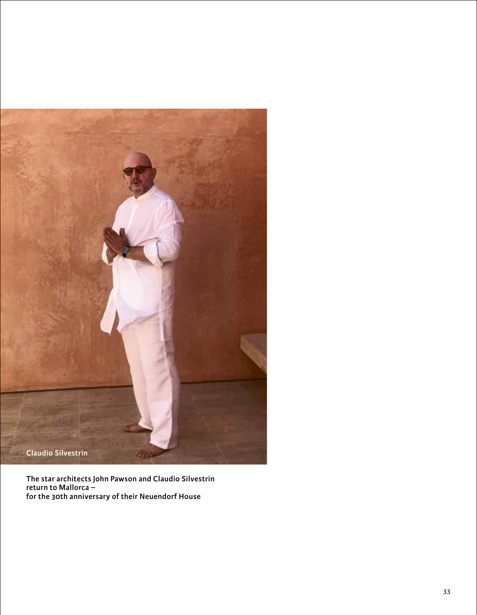

**The star architects John Pawson and Claudio Silvestrin return to Mallorca – for the 30th anniversary of their Neuendorf House**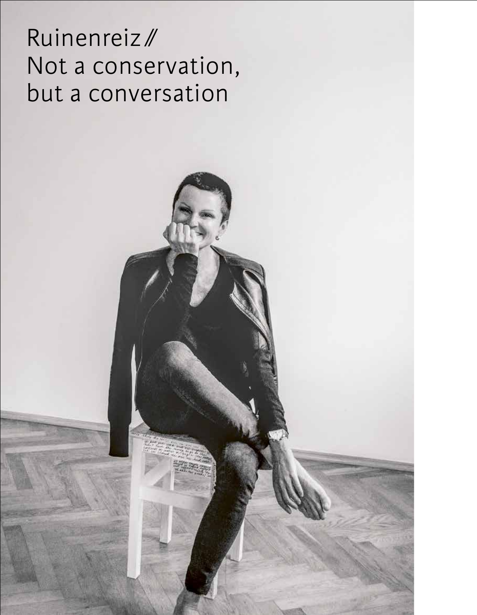## Ruinenreiz/ Not a conservation, but a conversation

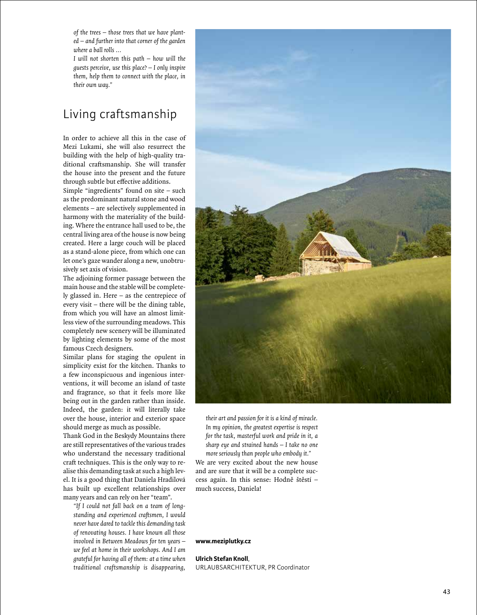*of the trees – those trees that we have plant ed – and further into that corner of the garden where a ball rolls ...*

*I will not shorten this path – how will the guests perceive, use this place? – I only inspire them, help them to connect with the place, in their own way."*

#### Living craftsmanship

In order to achieve all this in the case of Mezi Lukami, she will also resurrect the building with the help of high-quality traditional craftsmanship. She will transfer the house into the present and the future through subtle but e ffective additions.

Simple "ingredients" found on site – such as the predominant natural stone and wood elements – are selectively supplemented in harmony with the materiality of the building. Where the entrance hall used to be, the central living area of the house is now being created. Here a large couch will be placed as a stand-alone piece, from which one can let one's gaze wander along a new, unobtrusively set axis of vision.

The adjoining former passage between the main house and the stable will be completely glassed in. Here – as the centrepiece of every visit – there will be the dining table, from which you will have an almost limitless view of the surrounding meadows. This completely new scenery will be illuminated by lighting elements by some of the most famous Czech designers.

Similar plans for staging the opulent in simplicity exist for the kitchen. Thanks to a few inconspicuous and ingenious interventions, it will become an island of taste and fragrance, so that it feels more like being out in the garden rather than inside. Indeed, the garden: it will literally take over the house, interior and exterior space should merge as much as possible.

Thank God in the Beskydy Mountains there are still representatives of the various trades who understand the necessary traditional cra ft techniques. This is the only way to realise this demanding task at such a high level. It is a good thing that Daniela Hradilová has built up excellent relationships over many years and can rely on her "team".

*"If I could not fall back on a team of long standing and experienced craftsmen, I would never have dared to tackle this demanding task of renovating houses. I have known all those involved in Between Meadows for ten years – we feel at home in their workshops. And I am grateful for having all of them: at a time when traditional craftsmanship is disappearing,* 



*their art and passion for it is a kind of miracle. In my opinion, the greatest expertise is respect for the task, masterful work and pride in it, a sharp eye and strained hands – I take no one more seriously than people who embody it."*

We are very excited about the new house and are sure that it will be a complete success again. In this sense: Hodně štěstí – much success, Daniela!

#### **www.meziplutky.cz**

**Ulrich Stefan Knoll**,

URLAUBSARCHITEKTUR, PR Coordinator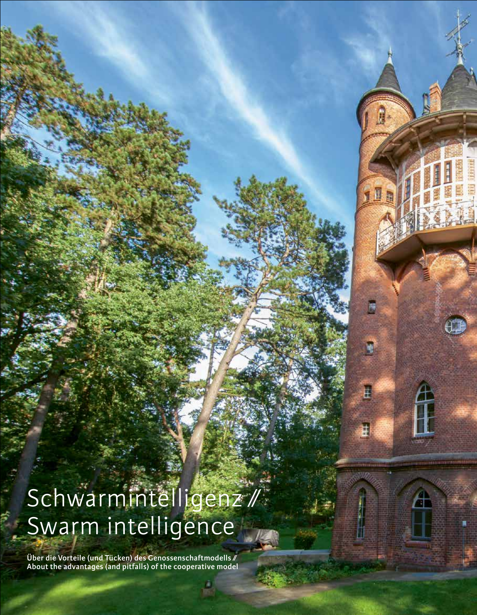# Schwarmintelligenz ∕∕ Swarm intelligence

A

**Über die Vorteile (und Tücken) des Genossenschaftmodells ∕∕ About the advantages (and pitfalls) of the cooperative model**